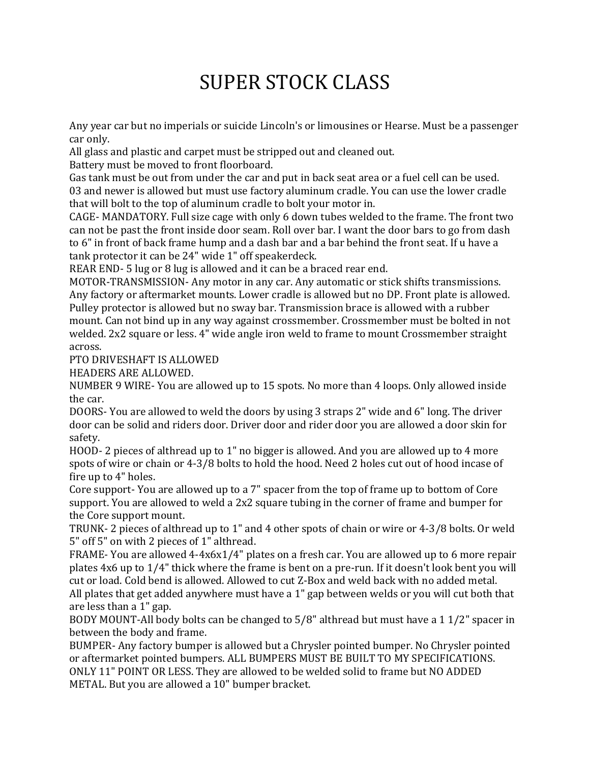## SUPER STOCK CLASS

Any year car but no imperials or suicide Lincoln's or limousines or Hearse. Must be a passenger car only.

All glass and plastic and carpet must be stripped out and cleaned out.

Battery must be moved to front floorboard.

Gas tank must be out from under the car and put in back seat area or a fuel cell can be used. 03 and newer is allowed but must use factory aluminum cradle. You can use the lower cradle that will bolt to the top of aluminum cradle to bolt your motor in.

CAGE- MANDATORY. Full size cage with only 6 down tubes welded to the frame. The front two can not be past the front inside door seam. Roll over bar. I want the door bars to go from dash to 6" in front of back frame hump and a dash bar and a bar behind the front seat. If u have a tank protector it can be 24" wide 1" off speakerdeck.

REAR END- 5 lug or 8 lug is allowed and it can be a braced rear end.

MOTOR-TRANSMISSION- Any motor in any car. Any automatic or stick shifts transmissions. Any factory or aftermarket mounts. Lower cradle is allowed but no DP. Front plate is allowed. Pulley protector is allowed but no sway bar. Transmission brace is allowed with a rubber mount. Can not bind up in any way against crossmember. Crossmember must be bolted in not welded. 2x2 square or less. 4" wide angle iron weld to frame to mount Crossmember straight across.

PTO DRIVESHAFT IS ALLOWED

HEADERS ARE ALLOWED.

NUMBER 9 WIRE- You are allowed up to 15 spots. No more than 4 loops. Only allowed inside the car.

DOORS- You are allowed to weld the doors by using 3 straps 2" wide and 6" long. The driver door can be solid and riders door. Driver door and rider door you are allowed a door skin for safety.

HOOD- 2 pieces of althread up to 1" no bigger is allowed. And you are allowed up to 4 more spots of wire or chain or 4-3/8 bolts to hold the hood. Need 2 holes cut out of hood incase of fire up to 4" holes.

Core support- You are allowed up to a 7" spacer from the top of frame up to bottom of Core support. You are allowed to weld a 2x2 square tubing in the corner of frame and bumper for the Core support mount.

TRUNK- 2 pieces of althread up to 1" and 4 other spots of chain or wire or 4-3/8 bolts. Or weld 5" off 5" on with 2 pieces of 1" althread.

FRAME- You are allowed 4-4x6x1/4" plates on a fresh car. You are allowed up to 6 more repair plates 4x6 up to 1/4" thick where the frame is bent on a pre-run. If it doesn't look bent you will cut or load. Cold bend is allowed. Allowed to cut Z-Box and weld back with no added metal.

All plates that get added anywhere must have a 1" gap between welds or you will cut both that are less than a 1" gap.

BODY MOUNT-All body bolts can be changed to 5/8" althread but must have a 1 1/2" spacer in between the body and frame.

BUMPER- Any factory bumper is allowed but a Chrysler pointed bumper. No Chrysler pointed or aftermarket pointed bumpers. ALL BUMPERS MUST BE BUILT TO MY SPECIFICATIONS. ONLY 11" POINT OR LESS. They are allowed to be welded solid to frame but NO ADDED METAL. But you are allowed a 10" bumper bracket.